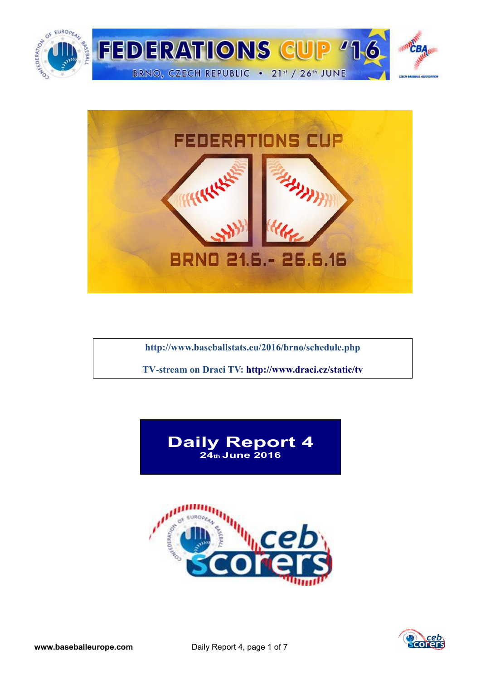



**<http://www.baseballstats.eu/2016/brno/schedule.php>**

**TV-stream on Draci TV:<http://www.draci.cz/static/tv>**





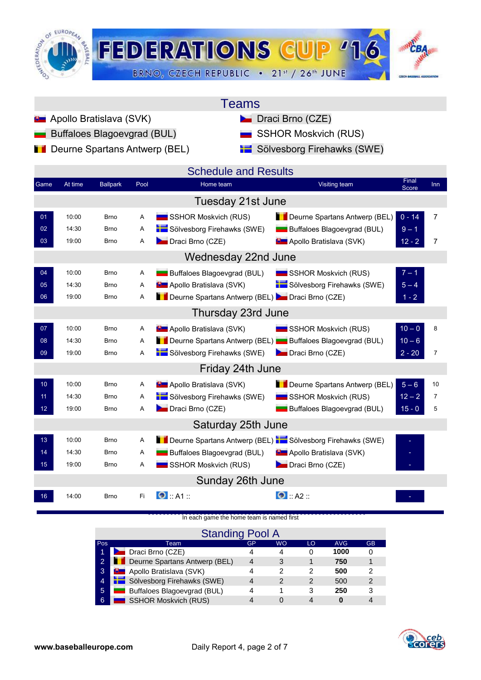

| Teams |  |
|-------|--|
|       |  |

- **Apollo Bratislava (SVK)** Draci Brno (CZE)
	- Buffaloes Blagoevgrad (BUL) **SSHOR Moskvich (RUS)**
- **Deurne Spartans Antwerp (BEL)** Sölvesborg Firehawks (SWE)
- -

|                 |         |                 |             | <b>Schedule and Results</b>                                        |                                  |                |                |
|-----------------|---------|-----------------|-------------|--------------------------------------------------------------------|----------------------------------|----------------|----------------|
| Game            | At time | <b>Ballpark</b> | Pool        | Home team                                                          | Visiting team                    | Final<br>Score | Inn            |
|                 |         |                 |             | Tuesday 21st June                                                  |                                  |                |                |
| 01              | 10:00   | <b>Brno</b>     | A           | SSHOR Moskvich (RUS)                                               | Deurne Spartans Antwerp (BEL)    | $0 - 14$       | $\overline{7}$ |
| 02              | 14:30   | <b>Brno</b>     | $\mathsf A$ | Sölvesborg Firehawks (SWE)                                         | Buffaloes Blagoevgrad (BUL)      | $9 - 1$        |                |
| 03              | 19:00   | <b>Brno</b>     | A           | Draci Brno (CZE)                                                   | <b>D</b> Apollo Bratislava (SVK) | $12 - 2$       | $\overline{7}$ |
|                 |         |                 |             | Wednesday 22nd June                                                |                                  |                |                |
| 04              | 10:00   | <b>Brno</b>     | Α           | Buffaloes Blagoevgrad (BUL)                                        | SSHOR Moskvich (RUS)             | $7 - 1$        |                |
| 05              | 14:30   | <b>Brno</b>     | A           | <b>D</b> Apollo Bratislava (SVK)                                   | Sölvesborg Firehawks (SWE)       | $5 - 4$        |                |
| 06              | 19:00   | <b>Brno</b>     | A           | Deurne Spartans Antwerp (BEL) Draci Brno (CZE)                     |                                  | $1 - 2$        |                |
|                 |         |                 |             | Thursday 23rd June                                                 |                                  |                |                |
| 07              | 10:00   | <b>Brno</b>     | Α           | <b>D</b> Apollo Bratislava (SVK)                                   | SSHOR Moskvich (RUS)             | $10 - 0$       | 8              |
| 08              | 14:30   | <b>Brno</b>     | A           | Deurne Spartans Antwerp (BEL) Buffaloes Blagoevgrad (BUL)          |                                  | $10 - 6$       |                |
| 09              | 19:00   | <b>Brno</b>     | Α           | Sölvesborg Firehawks (SWE)                                         | Draci Brno (CZE)                 | $2 - 20$       | $\overline{7}$ |
|                 |         |                 |             | Friday 24th June                                                   |                                  |                |                |
| 10 <sub>1</sub> | 10:00   | <b>Brno</b>     | A           | <b>D</b> Apollo Bratislava (SVK)                                   | Deurne Spartans Antwerp (BEL)    | $5 - 6$        | 10             |
| 11              | 14:30   | <b>Brno</b>     | Α           | Sölvesborg Firehawks (SWE)                                         | SSHOR Moskvich (RUS)             | $12 - 2$       | $\overline{7}$ |
| 12 <sub>2</sub> | 19:00   | <b>Brno</b>     | A           | Draci Brno (CZE)                                                   | Buffaloes Blagoevgrad (BUL)      | $15 - 0$       | 5              |
|                 |         |                 |             | Saturday 25th June                                                 |                                  |                |                |
| 13              | 10:00   | <b>Brno</b>     | A           | Deurne Spartans Antwerp (BEL) <b>10 Sölvesborg Firehawks (SWE)</b> |                                  |                |                |
| 14              | 14:30   | <b>Brno</b>     | Α           | Buffaloes Blagoevgrad (BUL)                                        | <b>B</b> Apollo Bratislava (SVK) |                |                |
| 15 <sub>1</sub> | 19:00   | <b>Brno</b>     | Α           | SSHOR Moskvich (RUS)                                               | Draci Brno (CZE)                 |                |                |
|                 |         |                 |             | Sunday 26th June                                                   |                                  |                |                |
| 16              | 14:00   | <b>Brno</b>     | Fi          | $\bullet$ :: A1 ::                                                 | $\bullet$ :: A2 ::               |                |                |

[In each game the home team is named first](http://score.cebeurope.com/2013/antwerp/login.php)

|                | <b>Standing Pool A</b>           |    |           |    |            |           |
|----------------|----------------------------------|----|-----------|----|------------|-----------|
| Pos            | Team                             | GP | <b>WO</b> | LO | <b>AVG</b> | <b>GB</b> |
| 1              | <b>Draci Brno (CZE)</b>          | 4  |           | O  | 1000       |           |
| $\overline{2}$ | Deurne Spartans Antwerp (BEL)    | 4  | 3         |    | 750        |           |
| 3              | <b>D</b> Apollo Bratislava (SVK) | 4  | 2         | 2  | 500        | 2         |
| $\overline{4}$ | Sölvesborg Firehawks (SWE)       | 4  | 2         | 2  | 500        | 2         |
| 5              | Buffaloes Blagoevgrad (BUL)      | 4  |           | 3  | 250        | 3         |
| 6              | <b>SSHOR Moskvich (RUS)</b>      |    |           |    |            |           |

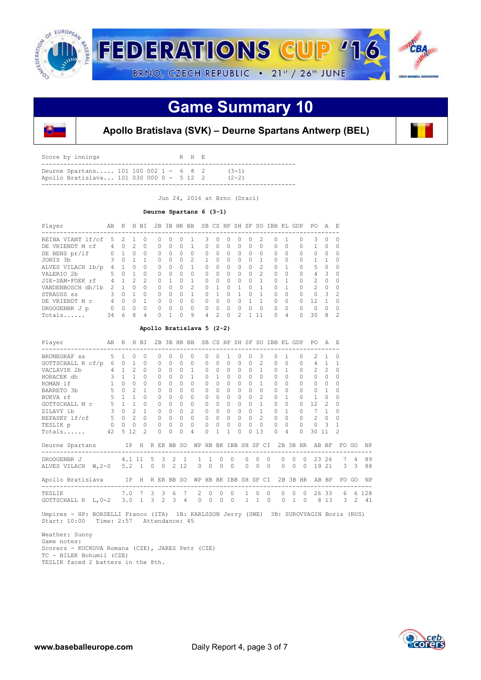

### **Game Summary 10**



### **Apollo Bratislava (SVK) – Deurne Spartans Antwerp (BEL)**

| Deurne Spartans 101 100 002 1 - 6 8 2<br>$(3-1)$      |  | Score by innings |  |  |  | R H E |  |
|-------------------------------------------------------|--|------------------|--|--|--|-------|--|
| Apollo Bratislava 101 030 000 0 - 5 12 2<br>$(2 - 2)$ |  |                  |  |  |  |       |  |

Jun 24, 2016 at Brno (Draci)

#### **Deurne Spartans 6 (3-1)**

| Player                | AB | R             |               | H BI          | 2B |           |          | 3B HR BB      |              |               |              |          |              |                | SB CS HP SH SF SO IBB KL GDP |          |              | PO.           | A            | E.            |
|-----------------------|----|---------------|---------------|---------------|----|-----------|----------|---------------|--------------|---------------|--------------|----------|--------------|----------------|------------------------------|----------|--------------|---------------|--------------|---------------|
| REINA VIANT lf/cf     | 5  | $\mathcal{P}$ |               | 0             | Ω  | 0         |          |               | 3            |               | ∩            | O        |              | 2              | 0                            |          | <sup>0</sup> | 3             | <sup>0</sup> | ∩             |
| VRIENDT M cf<br>DE.   | 4  | $\Omega$      | 2             | 0             | 0  | $\Omega$  | Ω        |               | <sup>0</sup> | $\Omega$      | $\Omega$     | O        | $\Omega$     | 0              | 0                            | $\Omega$ | 0            |               | O            | ∩             |
| DE BENS pr/lf         | Ω  |               | ∩             | $\Omega$      | 0  | 0         | Ω        | $\Omega$      | $\Omega$     | $\Omega$      | <sup>0</sup> | O        | 0            | $\Omega$       | 0                            | O        | 0            | O             | Ω            |               |
| JONIS 3b              | 3  | O             |               |               | Λ  | 0         | 0        | 2             |              | ∩             | $\Omega$     | ∩        | 0            |                | <sup>n</sup>                 | 0        | $\bigcap$    |               |              | ∩             |
| ALVES VILACH 1b/p     | 4  |               | ∩             | 0             | 0  | $\Omega$  |          |               | ∩            | ∩             | $\Omega$     | O        | 0            | $\mathfrak{D}$ | 0                            |          | $\cap$       | 5             | Ω            | ∩             |
| VALERIO <sub>2b</sub> | 5  | $\cap$        |               | $\Omega$      | U  | $\bigcap$ | $\Omega$ | $\Omega$      | $\cap$       | $\Omega$      | $\Omega$     | $\Omega$ | $\Omega$     | $\mathcal{P}$  | $\cap$                       | $\Omega$ | $\Omega$     | 4             | 3            | $\Omega$      |
| JIE-SAM-FOEK rf       | 4  |               | $\mathcal{D}$ | $\mathcal{D}$ | O. |           | O.       |               | $\cap$       | $\cap$        | $\Omega$     | $\cap$   | <sup>n</sup> | 1              | U                            | 1        | $\Omega$     | $\mathcal{P}$ | ∩            | $\Omega$      |
| VANDENBOSCH dh/1b     | 2  |               |               | Ω             | Λ  | 0         |          | $\mathcal{P}$ |              |               | ∩            |          |              |                | Λ                            |          | $\cap$       | $\mathcal{P}$ | O            | ∩             |
| STRAUSS SS            | 3  | $\cap$        |               | $\Omega$      | U  | 0         | $\cap$   |               | $\cap$       |               | $\cap$       |          | O            | 1              | <sup>n</sup>                 | $\Omega$ | $\cap$       | U             | Κ            | $\mathcal{P}$ |
| DE VRIENDT N C        | 4  | $\Omega$      | $\cap$        |               | U  | $\Omega$  | $\Omega$ | $\bigcap$     | $\cap$       | ∩             | $\Omega$     | ∩        |              |                | 0                            | O        | U            | 12            |              | $\Omega$      |
| DROOGENBR J p         | 0  | $\Omega$      | $\Omega$      | $\Omega$      | Λ  | $\Omega$  | $\Omega$ | $\bigcap$     | $\cap$       | ∩             | ∩            | U        | 0            | $\Omega$       | U                            | $\Omega$ | $\cap$       | Λ             |              |               |
| Totals                | 34 | 6             | 8             | 4             | Λ  |           | Λ        | 9             | 4            | $\mathcal{P}$ | $\Omega$     | っ        |              | 11             | U                            | 4        | U            | 30            | 8            | 2             |

#### **Apollo Bratislava 5 (2-2)**

| Player                   | AB          | R              |                | H BI           |    |                | 2B 3B HR BB |             |                | SB CS HP SH SF SO IBB KL GDP |              |              |          |          |                |          |                |           |           | PO.               | A              | F.            |                |           |
|--------------------------|-------------|----------------|----------------|----------------|----|----------------|-------------|-------------|----------------|------------------------------|--------------|--------------|----------|----------|----------------|----------|----------------|-----------|-----------|-------------------|----------------|---------------|----------------|-----------|
| BRUNEGRAF ss             | 5           | $\overline{1}$ | $\Omega$       | $\Omega$       |    | $\Omega$       | $\Omega$    | $\Omega$    | $\Omega$       | $\Omega$                     | $\cap$       |              | $\Omega$ | $\Omega$ | 3              | $\Omega$ | 1              |           | $\bigcap$ | 2                 |                | <sup>0</sup>  |                |           |
| GOTTSCHALL R cf/p        | 6           | $\Omega$       | $\overline{1}$ | $\Omega$       |    | $\Omega$       | 0           | $\Omega$    | $\Omega$       | $\Omega$                     | 0            | $\Omega$     | $\circ$  | $\Omega$ | $\overline{c}$ | $\Omega$ | $\Omega$       |           | $\bigcap$ | 4                 | $\mathbf{1}$   |               |                |           |
| VACLAVIK 2b              | $4 -$       | $\mathbf{1}$   | $\mathcal{L}$  | $\Omega$       |    | $\Omega$       | $\Omega$    | $\Omega$    | $\overline{1}$ | $\Omega$                     | $\cap$       | $\Omega$     | $\Omega$ | $\Omega$ | $\mathbf{1}$   | $\Omega$ | $\overline{1}$ |           | $\Omega$  | $\mathcal{L}$     | $\mathfrak{D}$ | $\Omega$      |                |           |
| HORACEK dh               | 3           | 1              | 1              | $\Omega$       |    | $\Omega$       | 0           | $\Omega$    | 1              | $\Omega$                     |              | $\Omega$     | $\Omega$ | $\Omega$ | $\Omega$       | $\Omega$ | $\Omega$       |           | $\bigcap$ | 0                 | $\Omega$       | <sup>0</sup>  |                |           |
| ROMAN 1f                 | 1           | $\Omega$       | $\Omega$       | $\bigcap$      |    | $\Omega$       | $\Omega$    | $\Omega$    | $\Omega$       | $\Omega$                     | O.           | $\Omega$     | $\Omega$ | $\Omega$ | $\mathbf{1}$   | $\Omega$ | $\Omega$       |           | $\Omega$  | $\Omega$          | $\Omega$       | <sup>0</sup>  |                |           |
| BARRETO 3b               | 5           | $\Omega$       | $\mathfrak{D}$ | 1              |    | $\Omega$       | 0           | $\Omega$    | $\bigcap$      | $\Omega$                     | 0            | $\Omega$     | $\Omega$ | $\Omega$ | $\Omega$       | $\Omega$ | $\Omega$       |           | $\Omega$  | $\Omega$          | 1              | <sup>0</sup>  |                |           |
| $5\quad 1$<br>BUKVA rf   |             |                | $\mathbf{1}$   | $\bigcap$      |    | $\bigcap$      | $\bigcap$   | $\cap$      | $\Omega$       | $\Omega$                     | O.           | $\Omega$     | $\Omega$ | $\Omega$ | $\mathfrak{D}$ | $\Omega$ | $\overline{1}$ |           | $\Omega$  | $\mathbf{1}$      | $\Omega$       | ∩             |                |           |
| GOTTSCHALL M c           | $5 \quad 1$ |                | $\overline{1}$ | $\bigcap$      |    | $\Omega$       | 0           | $\Omega$    | $\bigcap$      | $\Omega$                     | 0            | $\Omega$     | $\Omega$ | $\Omega$ | $\mathbf{1}$   | $\Omega$ | $\Omega$       |           | $\Omega$  | $12 \overline{ }$ | $\mathcal{P}$  | ∩             |                |           |
| ZILAVY 1b                | $3 -$       | $\Omega$       | $\mathcal{L}$  | $\mathbf{1}$   |    | $\Omega$       | $\bigcap$   | $\cap$      | 2              | $\Omega$                     | $\Omega$     | $\Omega$     | $\Omega$ | $\Omega$ | $\mathbf{1}$   | $\Omega$ | $\overline{1}$ |           | $\bigcap$ | 7                 | 1              | ∩             |                |           |
| $5 - 5$<br>REPASKY lf/cf |             | $\Omega$       | $\mathcal{L}$  | $\Omega$       |    | $\Omega$       | $\Omega$    | $\Omega$    | $\Omega$       | $\cap$                       | $\cap$       | $\Omega$     | $\Omega$ | $\Omega$ | $\mathcal{P}$  | $\Omega$ | $\Omega$       |           | $\bigcap$ | $\mathfrak{D}$    | $\Omega$       | 0             |                |           |
| TESLIK p                 |             | $0\qquad 0$    | $\Omega$       | $\Omega$       |    | $\Omega$       | $\Omega$    | $\Omega$    | $\Omega$       | 0                            | $\Omega$     | $\Omega$     | 0        | $\circ$  | $\Omega$       | $\Omega$ | 0              |           | $\Omega$  | $\Omega$          | $\mathcal{R}$  |               |                |           |
| Totals                   | 42          | $5^{\circ}$    | 12             | $\mathfrak{D}$ |    | $\Omega$       | 0           | $\Omega$    | 4              | $\Omega$                     |              | 1            | $\Omega$ | $\Omega$ | 13             | $\Omega$ |                | 4         | $\bigcap$ | 30 11             |                | $\mathcal{L}$ |                |           |
| Deurne Spartans          |             |                | IP H           |                |    |                | R ER BB SO  |             |                | WP HB                        |              | BK IBB SH SF |          |          |                | CI       |                | $2B$ $3B$ | <b>HR</b> |                   | AB BF          | FO.           | GO             | <b>NP</b> |
| DROOGENBR J              | 4.1 11      |                |                |                | .5 | 3              |             | $2 \quad 1$ | $\mathbf{1}$   | $\overline{1}$               | $\Omega$     | $\Omega$     |          | $\Omega$ | $\Omega$       | $\Omega$ | $\Omega$       | $\Omega$  | $\Omega$  | 23                | 26             | $7^{\circ}$   | $\overline{4}$ | 89        |
| ALVES VILACH W, 2-0      |             |                | 5.2 1 0 0      |                |    |                |             | 2 1 2       | $\circ$        | $\Omega$                     | $\mathbf{0}$ | $\Omega$     |          | $\Omega$ | $\Omega$       | $\Omega$ | $\Omega$       | $\Omega$  | $\Omega$  |                   | 19 21          |               | $3 \quad 3$    | 88        |
| Apollo Bratislava        |             |                | IP             | H              |    |                | R ER BB SO  |             |                | WP HB BK IBB SH SF CI        |              |              |          |          |                |          |                |           | 2B 3B HR  |                   | AB BF          |               | FO GO          | NP        |
| TESLIK                   |             | 7.0            |                | 7              | 3  | 3              | 6           | 7           | $\mathcal{L}$  | $\Omega$                     | $\Omega$     | $\Omega$     |          |          | $\Omega$       | $\Omega$ | $\cap$         | $\cap$    | $\circ$   |                   | 26 33          | 6.            |                | 6 128     |
| GOTTSCHALL R L, 0-2      |             | 3.0            |                | $\mathbf{1}$   | 3  | $\mathfrak{D}$ | 3           | 4           | $\Omega$       | $\Omega$                     | $\Omega$     | $\circ$      |          |          |                | $\cap$   | $\Omega$       |           | $\Omega$  | 8                 | 13             | 3.            | 2              | 41        |

 Umpires - HP: BORSELLI Franco (ITA) 1B: KARLSSON Jerry (SWE) 3B: SUROVYAGIN Boris (RUS) Start: 10:00 Time: 2:57 Attendance: 45

Weather: Sunny

 Game notes: Scorers - KUCKOVA Romana (CZE), JARES Petr (CZE) TC - BILEK Bohumil (CZE) TESLIK faced 2 batters in the 8th.

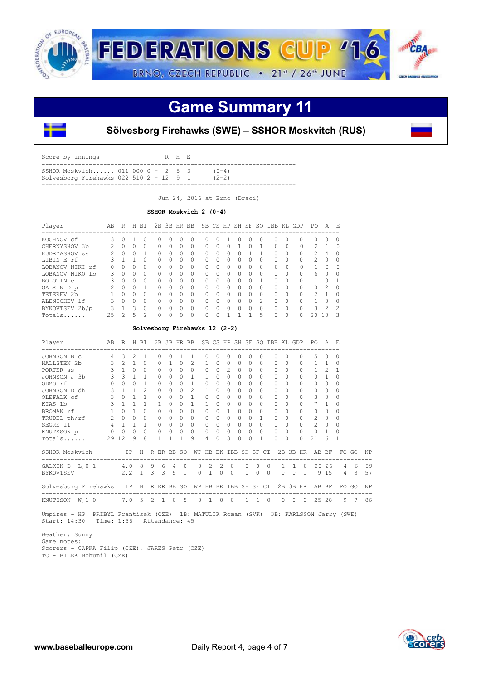

## **Game Summary 11**



### **Sölvesborg Firehawks (SWE) – SSHOR Moskvitch (RUS)**

| Score by innings                                                              |  |  | R H E |                      |
|-------------------------------------------------------------------------------|--|--|-------|----------------------|
| SSHOR Moskvich 011 000 0 - 2 5 3<br>Solvesborg Firehawks $022$ 510 2 - 12 9 1 |  |  |       | $(0-4)$<br>$(2 - 2)$ |
|                                                                               |  |  |       |                      |

Jun 24, 2016 at Brno (Draci)

#### **SSHOR Moskvich 2 (0-4)**

| Player                         | AB            | R            | Н | <b>BT</b> | 2B       | 3B           | HR       | <b>BB</b> |    |   |          | SB CS HP SH SF |          |               | SO IBB KL GDP |          |          | PO.           | A             | F.            |
|--------------------------------|---------------|--------------|---|-----------|----------|--------------|----------|-----------|----|---|----------|----------------|----------|---------------|---------------|----------|----------|---------------|---------------|---------------|
| KOCHNOV cf                     | 3             | <sup>n</sup> |   | 0         | 0        | <sup>0</sup> |          | Ω         | Ω  | 0 |          | $^{\circ}$     | O        | $\cup$        |               | $\Omega$ | 0        | $\bigcap$     | 0             | <sup>0</sup>  |
| CHERNYSHOV 3b                  |               | $\cap$       | 0 | $\Omega$  | $\Omega$ | $\Omega$     |          | 0         | O. | 0 | 0        |                | O        |               | $\Omega$      |          | $\Omega$ | 2.            |               | O             |
| KUDRYASHOV ss                  | $\mathcal{P}$ | $\cap$       | O | 1         | $\Omega$ | $\Omega$     | $\Omega$ | $\Omega$  | O  | 0 | $\Omega$ | U              |          | 1             | $\Omega$      | $\Omega$ | $\Omega$ | $\mathcal{L}$ | 4             |               |
| LIBIN E rf                     |               |              |   | $\Omega$  | $\Omega$ | $\Omega$     | $\Omega$ | 0         | 0  | 0 | 0        | n              | 0        | <sup>0</sup>  | 0             | $\Omega$ | $\Omega$ | $\mathcal{P}$ | 0             | O             |
| LOBANOV NIKI rf                | 0             | 0            | Ω | $\Omega$  | 0        | $\Omega$     |          | 0         | O. | 0 | 0        | n              | 0        | <sup>0</sup>  | $\Omega$      |          | $\Omega$ | 1.            | $\Omega$      |               |
| LOBANOV NIKO<br>1 <sub>b</sub> | 3             | $\cap$       | O | $\Omega$  | $\Omega$ | $\Omega$     | $\Omega$ | $\Omega$  | U  | 0 | $\Omega$ | U              | $\Omega$ | $\Omega$      | $\Omega$      | $\Omega$ | $\Omega$ | 6             | O             | ∩             |
| BOLOTIN C                      | 3             | $\bigcap$    | Ω | $\Omega$  | $\Omega$ | $\Omega$     | $\cap$   | 0         | 0  | 0 | $\Omega$ | U              | 0        | 1             | $\Omega$      | $\Omega$ | $\Omega$ |               | Ω             |               |
| GALKIN D p                     |               | $\cap$       | Ω |           | 0        | $\Omega$     | ∩        | 0         | Ω  | 0 | $\Omega$ | n              | O        | <sup>0</sup>  | 0             | $\Omega$ | $\Omega$ | $\Omega$      | $\mathcal{P}$ | O             |
| TETEREV 2b                     |               | <sup>n</sup> | Λ | $\Omega$  | $\cap$   | <sup>0</sup> | ∩        | 0         | Λ  | 0 | 0        | U              | 0        | <sup>0</sup>  | ∩             | $\cap$   | $\Omega$ | $\mathcal{P}$ |               | ∩             |
| ALENICHEV 1f                   | 3             | $\cap$       | Ω | $\Omega$  | $\Omega$ | <sup>0</sup> | ∩        | Ω         | 0  | 0 | $\Omega$ | U              | $\Omega$ | $\mathcal{P}$ | Ω             | $\Omega$ | $\Omega$ |               | Ω             | Ω             |
| BYKOVTSEV 2b/p                 |               |              | ζ | $\Omega$  | $\Omega$ | $\Omega$     | $\Omega$ | $\Omega$  | Ω  | 0 | $\Omega$ |                | $\Omega$ | $\Omega$      | 0             | $\Omega$ | $\Omega$ | 3             | $\mathcal{P}$ | $\mathcal{P}$ |
| Totals                         | 25            | っ            | 5 | 2         | $\Omega$ | ∩            |          | 0         | Λ  |   |          |                |          | 5             |               | $\Omega$ | $\cap$   | $20^{\circ}$  | $\cap$        | ς             |

#### **Solvesborg Firehawks 12 (2-2)**

| Player                                               | AB           | R HBI          |                              | ---------                     |                         | 2B                   |                      |                      | 3B HR BB SB CS HP SH SF SO IBB KL GDP            |                       |                       |                      |           |              |               |           |                      |              |                | PO.                | A                    | E.             |       |    |
|------------------------------------------------------|--------------|----------------|------------------------------|-------------------------------|-------------------------|----------------------|----------------------|----------------------|--------------------------------------------------|-----------------------|-----------------------|----------------------|-----------|--------------|---------------|-----------|----------------------|--------------|----------------|--------------------|----------------------|----------------|-------|----|
| JOHNSON B C                                          |              | $\mathcal{L}$  | $\mathcal{L}$                | $\mathbf{1}$                  |                         | $\Omega$             | $\Omega$             | 1                    | $\overline{1}$                                   | 0                     | $\Omega$              | $\Omega$             | $\bigcap$ | $\cap$       | $\Omega$      |           | $\bigcap$            | $\cap$       | $\cap$         | 5                  | $\Omega$             | 0              |       |    |
| HALLSTEN 2b                                          |              | $3 \quad 2$    | $\mathbf{1}$                 | $\Omega$                      |                         | $\Omega$             |                      | $\Omega$             | $\mathfrak{D}$                                   | 1                     | $\Omega$              | $\Omega$             | $\bigcap$ | $\Omega$     | $\Omega$      |           | $\Omega$             | $\Omega$     | $\cap$         | $\mathbf{1}$       | $\overline{1}$       | $\Omega$       |       |    |
| PORTER SS                                            |              | $3 \quad 1$    | $\Omega$                     | $\Omega$                      |                         | $\Omega$             | $\Omega$             | $0 \quad 0$          |                                                  | $\Omega$              | $\Omega$              | $\mathcal{L}$        | $\Omega$  | $\Omega$     | $\Omega$      |           | $\Omega$             | $\Omega$     |                | $\mathbf{1}$       | $\overline{2}$       | 1              |       |    |
| JOHNSON J 3b                                         |              | 3 <sup>3</sup> | $\mathbf{1}$                 | $\mathbf{1}$                  |                         | $\circ$              | $\Omega$             | $\Omega$             | $\mathbf{1}$                                     | 1                     | $\Omega$              | $\circ$              | $\Omega$  |              | $\Omega$      |           | $\Omega$             | $\Omega$     | $\bigcap$      | $0 \quad 1$        |                      | 0              |       |    |
| ODMO rf                                              | $\circ$      | $\circ$        | $\Omega$                     | $\mathbf{1}$                  |                         | $\circ$              | $\Omega$             | $\Omega$             | $\mathbf{1}$                                     | 0                     | $\Omega$              | $\circ$              | $\Omega$  | $\Omega$     | $\Omega$      |           | $\Omega$             | $\Omega$     | $\cap$         | $\circ$            | $\Omega$             | $\Omega$       |       |    |
| JOHNSON D dh<br>OLEFALK cf                           | 3<br>3       | $\Omega$       | $\mathbf{1}$<br>$\mathbf{1}$ | $\mathcal{L}$<br>$\mathbf{1}$ |                         | $\Omega$<br>$\Omega$ | $\Omega$<br>$\Omega$ | $\Omega$<br>$\Omega$ | $\mathfrak{D}$<br>$\mathbf{1}$                   | 1<br>$\Omega$         | $\Omega$<br>$\bigcap$ | $\Omega$<br>$\Omega$ | $\Omega$  | $\bigcap$    | 0<br>$\Omega$ |           | $\Omega$<br>$\Omega$ |              | $\bigcap$      | $\Omega$<br>3      | $\Omega$<br>$\Omega$ | 0<br>0         |       |    |
| KIAS 1b                                              | $\mathbf{3}$ |                |                              | $\mathbf{1}$                  |                         | $\mathbf{1}$         | $\bigcap$            | $\Omega$             | $\mathbf{1}$                                     | 1                     | $\cap$                | $\Omega$             | $\bigcap$ |              | $\Omega$      |           | $\bigcap$            |              | $\Omega$       | $\overline{7}$     | $\overline{1}$       | 0              |       |    |
| BROMAN rf                                            | $\mathbf{1}$ | $\cap$         | $\mathbf{1}$                 | $\Omega$                      |                         | $\Omega$             | $\bigcap$            | $\Omega$             | $\Omega$                                         | $\Omega$              | $\Omega$              | $\mathbf{1}$         | $\bigcap$ | $\bigcap$    | $\Omega$      |           | $\Omega$             | $\cap$       | $\cap$         | $\Omega$           | $\Omega$             | 0              |       |    |
| TRUDEL ph/rf                                         | $2^{\circ}$  | $\cap$         | $\Omega$                     | $\Omega$                      |                         | $\Omega$             | $\Omega$             | $\cap$               | $\Omega$                                         | $\Omega$              | $\Omega$              | $\Omega$             | $\cap$    | $\Omega$     | $\mathbf{1}$  |           | $\bigcap$            | <sup>n</sup> | $\Omega$       | $\mathcal{L}$      | $\Omega$             | 0              |       |    |
| SEGRE 1f                                             |              | $4 \quad 1$    | $\mathbf{1}$                 | $\mathbf{1}$                  |                         | $\Omega$             | $\Omega$             | $\Omega$             | $\Omega$                                         | $\Omega$              | $\bigcap$             | $\Omega$             | $\Omega$  | $\Omega$     | $\Omega$      |           | $\bigcap$            | $\Omega$     | $\cap$         | $\mathcal{L}$      | $\Omega$             | 0              |       |    |
| KNUTSSON p                                           |              | $0\quad 0$     |                              | $0 \quad 0$                   |                         | $\circ$              |                      | $0\quad 0\quad 0$    |                                                  | $\circ$               |                       | $0\quad 0$           | $\Omega$  | $\Omega$     | $\Omega$      |           | $\Omega$             | $\Omega$     | $\Omega$       | $\Omega$           | $\overline{1}$       | $\Omega$       |       |    |
| Totals                                               |              | 29 12          | 9                            | 8                             |                         | 1                    |                      | $\mathbf{1}$         | 9                                                | 4                     | $\Omega$              | ς                    | $\Omega$  |              | 1             |           | $\Omega$             |              | $\cap$         | 2.1                | 6                    | 1              |       |    |
| SSHOR Moskvich IP H R ER BB SO WP HB BK IBB SH SF CI |              |                |                              |                               |                         |                      |                      |                      |                                                  |                       |                       |                      |           |              |               |           |                      |              |                | 2B 3B HR AB BF     |                      |                | FO GO | NP |
| --------------------------<br>GALKIN $D$ L, $0-1$    |              | 4.0 8          |                              |                               | 9                       |                      | 6 4                  | $\Omega$             | ------------------------------------<br>$\Omega$ |                       | $2 \quad 2$           | $\Omega$             |           | $\Omega$     | $\Omega$      | $\bigcap$ | $\mathbf{1}$         | $\mathbf{1}$ | $\bigcirc$     | ------------------ | 20 26                | $\overline{4}$ | 6     | 89 |
| <b>BYKOVTSEV</b>                                     |              |                |                              | $2, 2 \quad 1$                | $\overline{\mathbf{3}}$ |                      | $3 \quad 5$          | $\mathbf{1}$         | $\Omega$                                         | $\overline{1}$        | $\Omega$              | $\Omega$             |           | $\Omega$     | $\Omega$      | $\Omega$  | $\Omega$             | $\Omega$     | $\overline{1}$ | 9                  | 15                   | $\overline{4}$ | 3     | 57 |
| Solvesborg Firehawks IP H R ER BB SO                 |              |                |                              |                               |                         |                      |                      |                      |                                                  | WP HB BK IBB SH SF CI |                       |                      |           |              |               |           |                      |              |                | 2B 3B HR AB BF     |                      |                | FO GO | NP |
| KNUTSSON<br>$W.1-0$                                  |              | 7.0 5          |                              |                               | $\mathcal{L}$           |                      | $1 \quad 0$          | 5                    | $\circ$                                          | $\overline{1}$        | $\Omega$              | $\Omega$             |           | $\mathbf{1}$ | 1             | $\Omega$  | $\Omega$             | $\Omega$     | $\overline{0}$ | 25                 | 28                   | 9              | 7     | 86 |
|                                                      |              |                |                              |                               |                         |                      |                      |                      |                                                  |                       |                       |                      |           |              |               |           |                      |              |                |                    |                      |                |       |    |

 Umpires - HP: PRIBYL Frantisek (CZE) 1B: MATULIK Roman (SVK) 3B: KARLSSON Jerry (SWE) Start: 14:30 Time: 1:56 Attendance: 45

 Weather: Sunny Game notes: Scorers - CAPKA Filip (CZE), JARES Petr (CZE) TC - BILEK Bohumil (CZE)

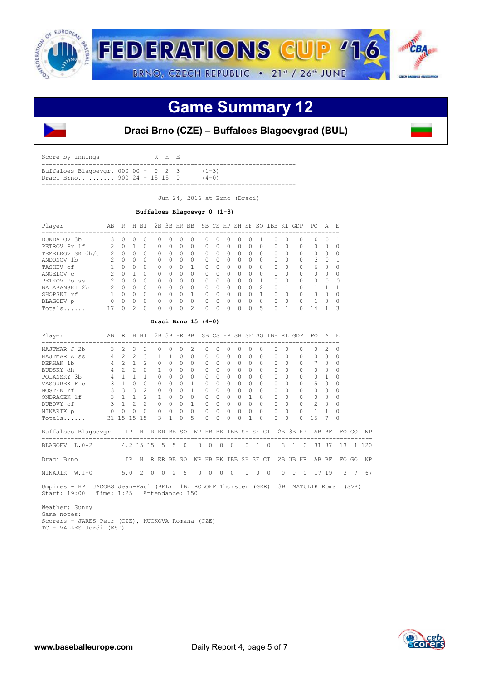

## **Game Summary 12**



### **Draci Brno (CZE) – Buffaloes Blagoevgrad (BUL)**

| Score by innings                                                     |  |  | R H E |                      |
|----------------------------------------------------------------------|--|--|-------|----------------------|
| Buffaloes Blagoevgr. $000 00 - 0 2 3$<br>Draci Brno 900 24 - 15 15 0 |  |  |       | $(1-3)$<br>$(4 - 0)$ |

Jun 24, 2016 at Brno (Draci)

#### **Buffaloes Blagoevgr 0 (1-3)**

| Player           | AВ             | R            | Н             | BT.      |              | $2B$ $3B$ |         | HR BB          |           | SB CS    |   | HP SH SF                         |    | SO.           | IBB      | KL       | GDP       | PO.       | A      | E.       |
|------------------|----------------|--------------|---------------|----------|--------------|-----------|---------|----------------|-----------|----------|---|----------------------------------|----|---------------|----------|----------|-----------|-----------|--------|----------|
| DUNDALOV 3b      |                | 0            |               |          |              |           | $^{()}$ |                | $^{(1)}$  | 0        |   |                                  |    |               | 0        | $\Omega$ |           |           | Ω      |          |
| PETROV Pr 1f     | $\mathcal{P}$  | $\Omega$     |               | $\Omega$ | $\Omega$     | $\Omega$  | 0       | $\Omega$       | $\bigcap$ | $\Omega$ | 0 | $\Omega$                         |    | 0             | $\Omega$ | $\Omega$ | $\Omega$  | $\Omega$  | Ω      |          |
| TEMELKOV SK dh/c | 2              | O            | Ω             | $\Omega$ | $\Omega$     | $\cap$    | Ω       | $\Omega$       | $\Omega$  | $\Omega$ | O | $\cap$                           | Λ  | $\Omega$      | 0        | $\Omega$ | $\Omega$  | $\Omega$  | 0      | ∩        |
| ANDONOV 1b       | $\mathfrak{D}$ | $\cap$       | Ω             | $\Omega$ | $\Omega$     | $\cap$    | 0       | $\Omega$       | $\Omega$  | 0        | 0 | $\begin{array}{c} \n\end{array}$ | O. | 0             | 0        | ∩        | $\Omega$  | 3         | $\cap$ |          |
| TASHEV cf        |                | $\Omega$     | Ω             | $\Omega$ | 0            | $\Omega$  | Ω       |                | $\Omega$  | $\Omega$ | U | $\bigcap$                        | Ω  | 0             | 0        | $\Omega$ | $\bigcap$ | 6         | O      | ∩        |
| ANGELOV C        |                | $\Omega$     |               | $\Omega$ | $\Omega$     | O         | Ω       | $\Omega$       | $\bigcap$ | $\Omega$ | Ω | $\bigcap$                        | Ω  | 0             | $\Omega$ | $\Omega$ | $\bigcap$ | $\bigcap$ | O      | ∩        |
| PETKOV Po ss     |                | O            | Ω             | $\Omega$ | 0            | O         | Ω       | $\Omega$       | $\bigcap$ | Ω        | Ω | $\bigcap$                        |    |               | 0        | $\Omega$ | $\Omega$  | $\bigcap$ | U      | $\Omega$ |
| BALABANSKI 2b    |                | $\Omega$     | Ω             | $\Omega$ | 0            | U         | Ω       | $\Omega$       | $\bigcap$ | Λ        | Ω | $\bigcap$                        |    | $\mathcal{P}$ | 0        |          |           |           |        |          |
| SHOPSKI rf       |                | O            | O             | $\Omega$ | $\Omega$     | O         | O       | 1              | $\cap$    | Λ        | Ω | $\cap$                           |    |               | O        | $\Omega$ | $\bigcap$ | 3         | O      | ∩        |
| BLAGOEV p        | ∩              | <sup>0</sup> | Ω             | $\Omega$ | $\Omega$     | U         | Ω       | $\Omega$       | $\bigcap$ | ∩        | Ω | $\cap$                           | Ω  | $\cap$        | 0        | $\Omega$ | $\bigcap$ | 1         | Λ      | ∩        |
| Totals           | 17             | <sup>n</sup> | $\mathcal{P}$ | $\cap$   | <sup>n</sup> | U         | Ω       | $\mathfrak{D}$ | $\cap$    | Λ        | Λ | <sup>n</sup>                     | ∩  | 5             | 0        |          |           | 14        |        | 3        |

 **Draci Brno 15 (4-0)**

| Player              | AB             | R              |                | H BI           |                 |               |               | 2B 3B HR BB  |              |              |          |                 |              |              |          | SB CS HP SH SF SO IBB KL GDP |          |                |           | PO.            | A        | - F.     |    |         |
|---------------------|----------------|----------------|----------------|----------------|-----------------|---------------|---------------|--------------|--------------|--------------|----------|-----------------|--------------|--------------|----------|------------------------------|----------|----------------|-----------|----------------|----------|----------|----|---------|
| HAJTMAR J 2b        | 3              | $\mathcal{D}$  | $\mathcal{L}$  | 3              | 0               |               | ∩             | ∩            | 2            | Ω            |          | ∩               | 0            | O            | Ω        | 0                            | 0        |                | $\cap$    | U              | 2.       | $\Omega$ |    |         |
| HAJTMAR A SS        | $\overline{4}$ | $\mathfrak{D}$ | $\mathcal{L}$  | 3              |                 |               |               | $\Omega$     | $\Omega$     | $\Omega$     | $\Omega$ | $\Omega$        | $\Omega$     | $\Omega$     | $\Omega$ | $\Omega$                     | $\Omega$ |                | $\Omega$  | $\Omega$       | 3        | $\Omega$ |    |         |
| DERHAK 1b           | 4              | $\mathcal{L}$  |                | $\mathfrak{D}$ |                 |               | 0             | <sup>0</sup> | $\Omega$     | $\Omega$     | $\Omega$ | $\Omega$        | 0            | $\Omega$     | 0        | $\Omega$                     | $\Omega$ |                | $\Omega$  | $\overline{7}$ | 0        | $\Omega$ |    |         |
| BUDSKY dh           | 4              | $\mathcal{D}$  | 2              |                |                 |               | U             | $\cap$       | $\Omega$     | 0            | $\Omega$ | $\Omega$        | $\Omega$     | $\Omega$     | 0        | $\Omega$                     |          | $\Omega$       | $\bigcap$ | $\Omega$       | $\Omega$ | $\cap$   |    |         |
| POLANSKY 3b         | 4              |                | $\overline{1}$ |                | ∩               |               | 0             | $\cap$       | $\Omega$     | 0            | $\cap$   | $\Omega$        | $\Omega$     | $\Omega$     | Λ        | $\Omega$                     | $\Omega$ |                | $\Omega$  | $\bigcap$      | 1.       | ∩        |    |         |
| VASOUREK F C        | 3              | $\mathbf{1}$   | $\Omega$       | $\Omega$       | $\Omega$        |               | 0             | $\Omega$     |              | $\Omega$     | $\Omega$ | $\Omega$        | $\Omega$     | $\Omega$     | $\Omega$ | $\Omega$                     |          | $\Omega$       | $\Omega$  | 5              | 0        | $\Omega$ |    |         |
| MOSTEK rf           | ζ              | $\mathcal{L}$  | $\mathcal{F}$  | $\mathfrak{D}$ |                 | $\cap$        | 0             | $\cap$       |              | $\Omega$     | $\Omega$ | $\Omega$        | 0            | <sup>0</sup> | 0        | $\Omega$                     |          | $\bigcap$      | $\bigcap$ | $\Omega$       |          | $\Omega$ |    |         |
| ONDRACEK 1f         | 3              |                |                | $\mathfrak{D}$ |                 |               |               |              | 0            |              |          | $\Omega$        |              |              | 0        | 0                            | $\Omega$ |                | $\Omega$  | $\Omega$       | 0        | $\Omega$ |    |         |
| DUBOVY cf           | 3              | $\overline{1}$ | 2              | $\mathcal{P}$  | $\Omega$        |               | $\Omega$      | $\Omega$     |              | $\Omega$     | $\Omega$ | $\Omega$        | $\Omega$     | $\Omega$     | 0        | $\Omega$                     | $\Omega$ |                | $\Omega$  | $\mathfrak{D}$ | $\Omega$ | $\Omega$ |    |         |
| MINARIK p           | 0              | $\circ$        |                | $\Omega$       |                 | $\Omega$      | $\Omega$      | $\Omega$     | 0            | 0            | $\circ$  | $\circ$         | $\mathbf{0}$ | $\Omega$     | $\Omega$ | $\Omega$                     | $\Omega$ |                | $\Omega$  | $\mathbf{1}$   |          | $\Omega$ |    |         |
| Totals              |                | 31 15 15       |                | 15             |                 | $\mathcal{L}$ |               | $\cap$       | 5            | $\Omega$     | $\cap$   | $\Omega$        | $\Omega$     | 1            | $\cap$   | $\Omega$                     |          | $\bigcap$      | $\Omega$  | 1.5            |          | $\cap$   |    |         |
| Buffaloes Blagoevgr |                |                | IP             | H              | R ER BB SO      |               |               |              | WP           | HB           |          | BK IBB SH SF CI |              |              |          |                              |          |                | 2B 3B HR  |                | AB BF    | FO       | GO | ΝP      |
| BLAGOEV<br>L,0-2    |                |                |                |                | 4.2 15 15 5 5 0 |               |               |              | $\Omega$     | $\Omega$     | $\Omega$ | $\Omega$        |              | $\Omega$     |          | $\Omega$                     | 3        | $\overline{1}$ | $\Omega$  |                | 31 37    | 13       |    | 1 1 2 0 |
| Draci Brno          |                |                | IP             | H              | R ER BB SO      |               |               |              | WP           | HB           |          | BK IBB SH SF CI |              |              |          |                              |          |                | 2B 3B HR  | AB             | BF       | FO       | GO | NP      |
| MINARIK<br>$W, 1-0$ |                | 5.0            |                | $\mathcal{L}$  | $\cap$          | <sup>0</sup>  | $\mathcal{L}$ | 5            | <sup>n</sup> | <sup>0</sup> | O        | 0               |              |              |          |                              |          | <sup>0</sup>   |           | 17             | 19       | 3        |    | 67      |

 Umpires - HP: JACOBS Jean-Paul (BEL) 1B: ROLOFF Thorsten (GER) 3B: MATULIK Roman (SVK) Start: 19:00 Time: 1:25 Attendance: 150

 Weather: Sunny Game notes: Scorers - JARES Petr (CZE), KUCKOVA Romana (CZE) TC - VALLES Jordi (ESP)

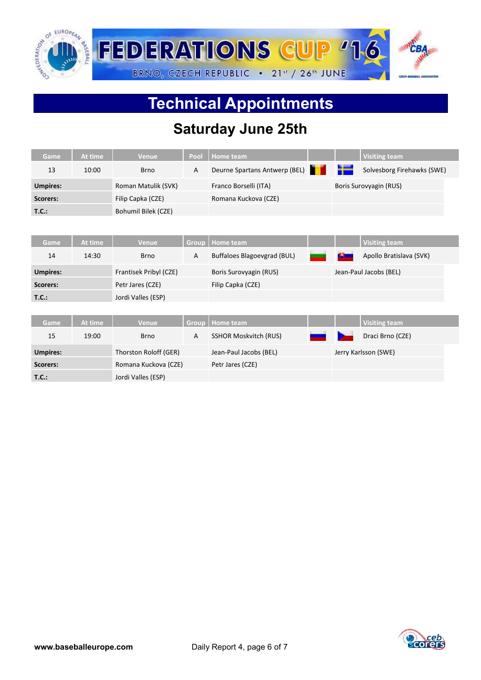

# **Technical Appointments**

## **Saturday June 25th**

| Game            | At time | <b>Venue</b>           | Pool         | <b>Home team</b>              |             |        | <b>Visiting team</b>       |  |
|-----------------|---------|------------------------|--------------|-------------------------------|-------------|--------|----------------------------|--|
| 13              | 10:00   | <b>Brno</b>            | A            | Deurne Spartans Antwerp (BEL) | <b>TELE</b> |        | Solvesborg Firehawks (SWE) |  |
| <b>Umpires:</b> |         | Roman Matulik (SVK)    |              | Franco Borselli (ITA)         |             |        | Boris Surovyagin (RUS)     |  |
| Scorers:        |         | Filip Capka (CZE)      |              | Romana Kuckova (CZE)          |             |        |                            |  |
| T.C.:           |         | Bohumil Bilek (CZE)    |              |                               |             |        |                            |  |
|                 |         |                        |              |                               |             |        |                            |  |
| <b>Game</b>     | At time | <b>Venue</b>           | <b>Group</b> | <b>Home team</b>              |             |        | <b>Visiting team</b>       |  |
| 14              | 14:30   | <b>Brno</b>            | A            | Buffaloes Blagoevgrad (BUL)   |             | كالأنا | Apollo Bratislava (SVK)    |  |
| <b>Umpires:</b> |         | Frantisek Pribyl (CZE) |              | Boris Surovyagin (RUS)        |             |        | Jean-Paul Jacobs (BEL)     |  |
| Scorers:        |         | Petr Jares (CZE)       |              | Filip Capka (CZE)             |             |        |                            |  |
| T.C.:           |         | Jordi Valles (ESP)     |              |                               |             |        |                            |  |
|                 |         |                        |              |                               |             |        |                            |  |
| <b>Game</b>     | At time | <b>Venue</b>           | Group        | <b>Home team</b>              |             |        | <b>Visiting team</b>       |  |
| 15              | 19:00   | <b>Brno</b>            | A            | <b>SSHOR Moskvitch (RUS)</b>  |             |        | Draci Brno (CZE)           |  |
| <b>Umpires:</b> |         | Thorston Roloff (GER)  |              | Jean-Paul Jacobs (BEL)        |             |        | Jerry Karlsson (SWE)       |  |
| Scorers:        |         | Romana Kuckova (CZE)   |              | Petr Jares (CZE)              |             |        |                            |  |
| T.C.:           |         | Jordi Valles (ESP)     |              |                               |             |        |                            |  |